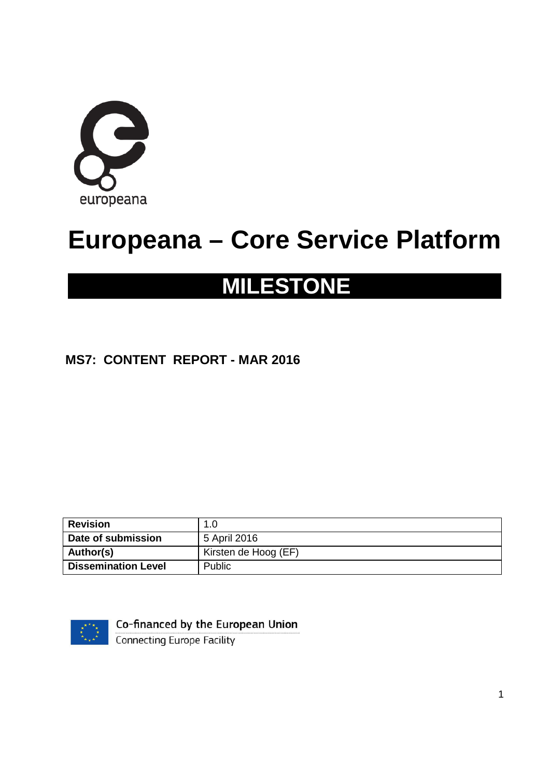

# **Europeana – Core Service Platform**

# **MILESTONE**

#### **MS7: CONTENT REPORT - MAR 2016**

| <b>Revision</b>            | .0                   |
|----------------------------|----------------------|
| Date of submission         | 5 April 2016         |
| Author(s)                  | Kirsten de Hoog (EF) |
| <b>Dissemination Level</b> | Public               |



Co-financed by the European Union

Connecting Europe Facility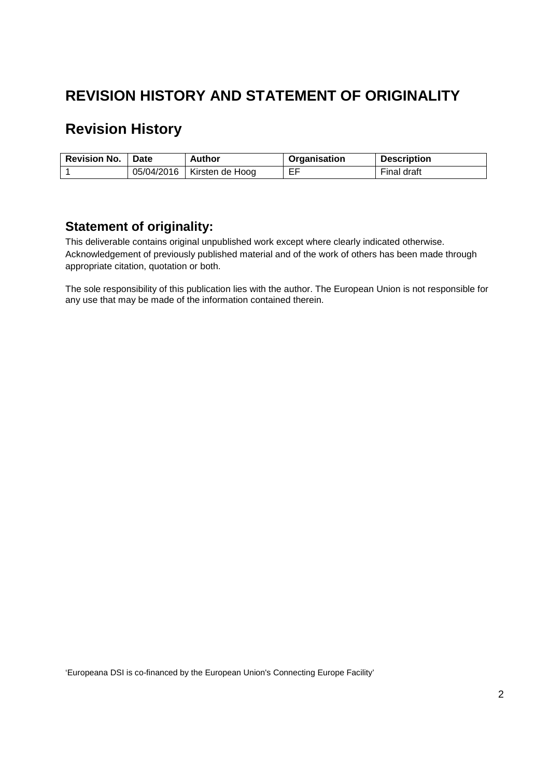## **REVISION HISTORY AND STATEMENT OF ORIGINALITY**

## **Revision History**

| <b>Revision No.</b> | Date       | Author          | <b>Organisation</b> | <b>Description</b> |
|---------------------|------------|-----------------|---------------------|--------------------|
|                     | 05/04/2016 | Kirsten de Hoog | EF                  | Final draft        |

#### **Statement of originality:**

This deliverable contains original unpublished work except where clearly indicated otherwise. Acknowledgement of previously published material and of the work of others has been made through appropriate citation, quotation or both.

The sole responsibility of this publication lies with the author. The European Union is not responsible for any use that may be made of the information contained therein.

'Europeana DSI is co-financed by the European Union's Connecting Europe Facility'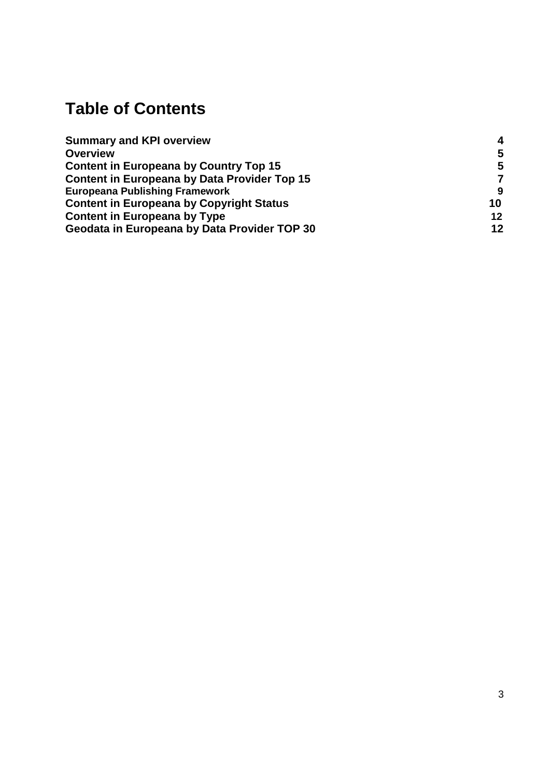# **Table of Contents**

| <b>Summary and KPI overview</b>                     | Δ  |
|-----------------------------------------------------|----|
| <b>Overview</b>                                     | 5  |
| <b>Content in Europeana by Country Top 15</b>       | 5  |
| <b>Content in Europeana by Data Provider Top 15</b> | 7  |
| <b>Europeana Publishing Framework</b>               | -9 |
| <b>Content in Europeana by Copyright Status</b>     | 10 |
| <b>Content in Europeana by Type</b>                 | 12 |
| Geodata in Europeana by Data Provider TOP 30        | 12 |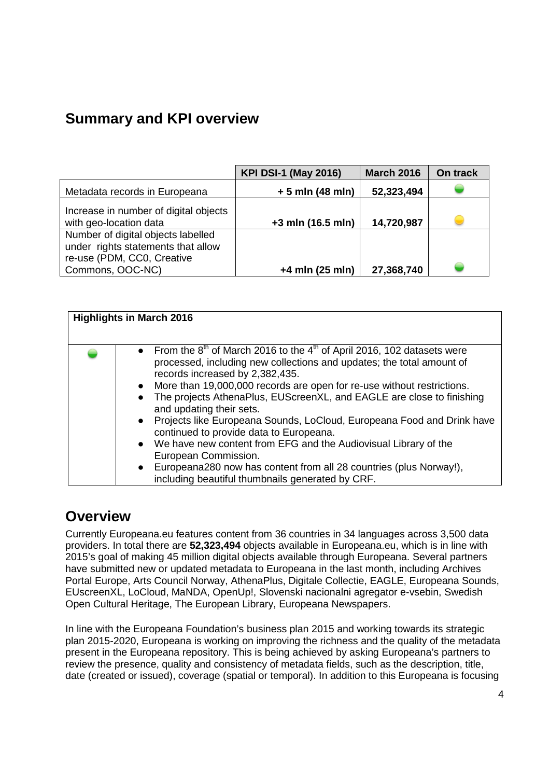## <span id="page-3-0"></span>**Summary and KPI overview**

|                                                                          | <b>KPI DSI-1 (May 2016)</b> | <b>March 2016</b> | On track |
|--------------------------------------------------------------------------|-----------------------------|-------------------|----------|
| Metadata records in Europeana                                            | $+5$ mln (48 mln)           | 52,323,494        |          |
| Increase in number of digital objects<br>with geo-location data          | +3 mln (16.5 mln)           | 14,720,987        |          |
| Number of digital objects labelled<br>under rights statements that allow |                             |                   |          |
| re-use (PDM, CC0, Creative<br>Commons, OOC-NC)                           | $+4$ mln (25 mln)           | 27,368,740        |          |

| <b>Highlights in March 2016</b>                                                                                                                                                                                                                                                                                                                                                                                                                                                                                                                                                                                                                                                                                                               |
|-----------------------------------------------------------------------------------------------------------------------------------------------------------------------------------------------------------------------------------------------------------------------------------------------------------------------------------------------------------------------------------------------------------------------------------------------------------------------------------------------------------------------------------------------------------------------------------------------------------------------------------------------------------------------------------------------------------------------------------------------|
| • From the 8 <sup>th</sup> of March 2016 to the 4 <sup>th</sup> of April 2016, 102 datasets were<br>processed, including new collections and updates; the total amount of<br>records increased by 2,382,435.<br>• More than 19,000,000 records are open for re-use without restrictions.<br>The projects AthenaPlus, EUScreenXL, and EAGLE are close to finishing<br>and updating their sets.<br>• Projects like Europeana Sounds, LoCloud, Europeana Food and Drink have<br>continued to provide data to Europeana.<br>• We have new content from EFG and the Audiovisual Library of the<br>European Commission.<br>• Europeana280 now has content from all 28 countries (plus Norway!),<br>including beautiful thumbnails generated by CRF. |

#### <span id="page-3-1"></span>**Overview**

Currently Europeana.eu features content from 36 countries in 34 languages across 3,500 data providers. In total there are **52,323,494** objects available in Europeana.eu, which is in line with 2015's goal of making 45 million digital objects available through Europeana. Several partners have submitted new or updated metadata to Europeana in the last month, including Archives Portal Europe, Arts Council Norway, AthenaPlus, Digitale Collectie, EAGLE, Europeana Sounds, EUscreenXL, LoCloud, MaNDA, OpenUp!, Slovenski nacionalni agregator e-vsebin, Swedish Open Cultural Heritage, The European Library, Europeana Newspapers.

In line with the Europeana Foundation's business plan 2015 and working towards its strategic plan 2015-2020, Europeana is working on improving the richness and the quality of the metadata present in the Europeana repository. This is being achieved by asking Europeana's partners to review the presence, quality and consistency of metadata fields, such as the description, title, date (created or issued), coverage (spatial or temporal). In addition to this Europeana is focusing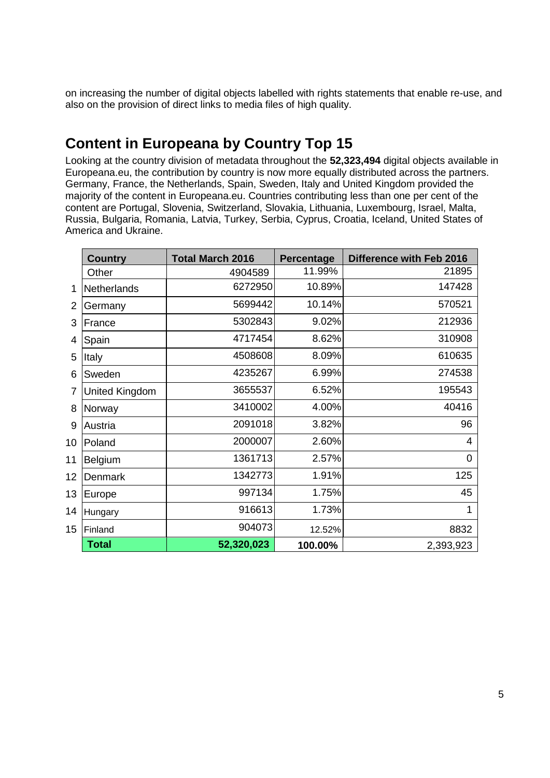on increasing the number of digital objects labelled with rights statements that enable re-use, and also on the provision of direct links to media files of high quality.

### <span id="page-4-0"></span>**Content in Europeana by Country Top 15**

Looking at the country division of metadata throughout the **52,323,494** digital objects available in Europeana.eu, the contribution by country is now more equally distributed across the partners. Germany, France, the Netherlands, Spain, Sweden, Italy and United Kingdom provided the majority of the content in Europeana.eu. Countries contributing less than one per cent of the content are Portugal, Slovenia, Switzerland, Slovakia, Lithuania, Luxembourg, Israel, Malta, Russia, Bulgaria, Romania, Latvia, Turkey, Serbia, Cyprus, Croatia, Iceland, United States of America and Ukraine.

|    | <b>Country</b> | <b>Total March 2016</b> | <b>Percentage</b> | <b>Difference with Feb 2016</b> |
|----|----------------|-------------------------|-------------------|---------------------------------|
|    | Other          | 4904589                 | 11.99%            | 21895                           |
| 1  | Netherlands    | 6272950                 | 10.89%            | 147428                          |
| 2  | Germany        | 5699442                 | 10.14%            | 570521                          |
| 3  | France         | 5302843                 | 9.02%             | 212936                          |
| 4  | Spain          | 4717454                 | 8.62%             | 310908                          |
| 5  | Italy          | 4508608                 | 8.09%             | 610635                          |
| 6  | Sweden         | 4235267                 | 6.99%             | 274538                          |
| 7  | United Kingdom | 3655537                 | 6.52%             | 195543                          |
| 8  | Norway         | 3410002                 | 4.00%             | 40416                           |
| 9  | Austria        | 2091018                 | 3.82%             | 96                              |
| 10 | Poland         | 2000007                 | 2.60%             | 4                               |
| 11 | Belgium        | 1361713                 | 2.57%             | 0                               |
| 12 | Denmark        | 1342773                 | 1.91%             | 125                             |
| 13 | Europe         | 997134                  | 1.75%             | 45                              |
| 14 | Hungary        | 916613                  | 1.73%             | 1                               |
| 15 | Finland        | 904073                  | 12.52%            | 8832                            |
|    | <b>Total</b>   | 52,320,023              | 100.00%           | 2,393,923                       |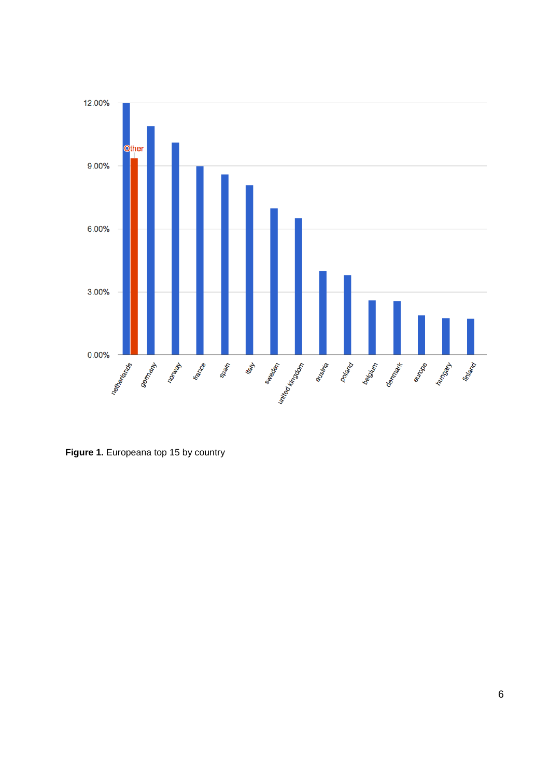

**Figure 1.** Europeana top 15 by country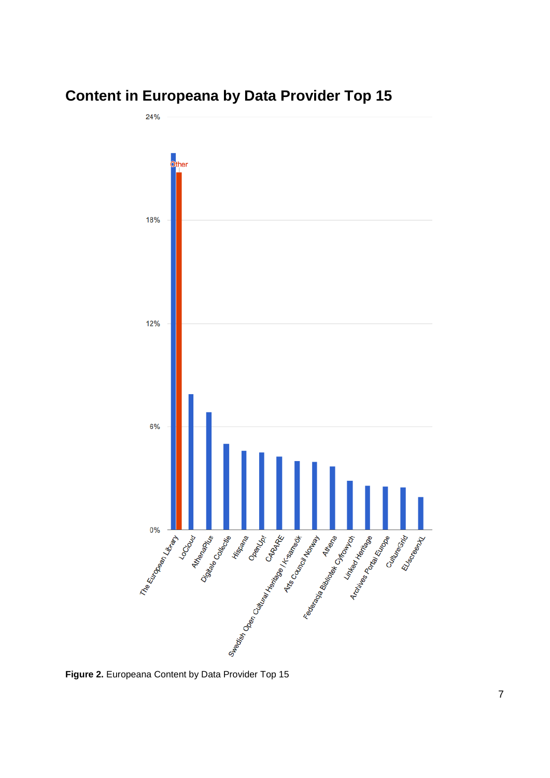## <span id="page-6-0"></span>**Content in Europeana by Data Provider Top 15**

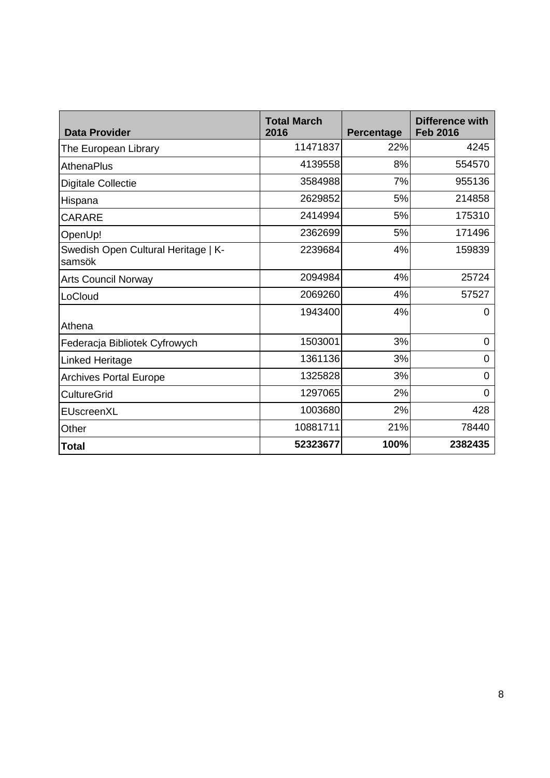<span id="page-7-0"></span>

| <b>Data Provider</b>                          | <b>Total March</b><br>2016 | <b>Percentage</b> | Difference with<br><b>Feb 2016</b> |
|-----------------------------------------------|----------------------------|-------------------|------------------------------------|
| The European Library                          | 11471837                   | 22%               | 4245                               |
| <b>AthenaPlus</b>                             | 4139558                    | 8%                | 554570                             |
| <b>Digitale Collectie</b>                     | 3584988                    | 7%                | 955136                             |
| Hispana                                       | 2629852                    | 5%                | 214858                             |
| <b>CARARE</b>                                 | 2414994                    | 5%                | 175310                             |
| OpenUp!                                       | 2362699                    | 5%                | 171496                             |
| Swedish Open Cultural Heritage   K-<br>samsök | 2239684                    | 4%                | 159839                             |
| <b>Arts Council Norway</b>                    | 2094984                    | 4%                | 25724                              |
| LoCloud                                       | 2069260                    | 4%                | 57527                              |
| Athena                                        | 1943400                    | 4%                | 0                                  |
| Federacja Bibliotek Cyfrowych                 | 1503001                    | 3%                | 0                                  |
| <b>Linked Heritage</b>                        | 1361136                    | 3%                | 0                                  |
| <b>Archives Portal Europe</b>                 | 1325828                    | 3%                | 0                                  |
| <b>CultureGrid</b>                            | 1297065                    | 2%                | 0                                  |
| EUscreenXL                                    | 1003680                    | 2%                | 428                                |
| Other                                         | 10881711                   | 21%               | 78440                              |
| <b>Total</b>                                  | 52323677                   | 100%              | 2382435                            |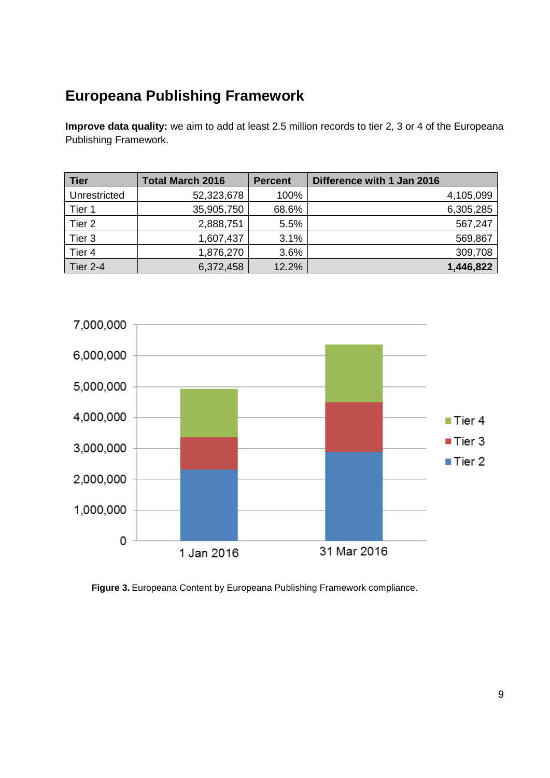## **Europeana Publishing Framework**

**Improve data quality:** we aim to add at least 2.5 million records to tier 2, 3 or 4 of the Europeana Publishing Framework.

| <b>Tier</b>     | <b>Total March 2016</b> | <b>Percent</b> | Difference with 1 Jan 2016 |
|-----------------|-------------------------|----------------|----------------------------|
| Unrestricted    | 52,323,678              | 100%           | 4,105,099                  |
| Tier 1          | 35,905,750              | 68.6%          | 6,305,285                  |
| Tier 2          | 2,888,751               | 5.5%           | 567,247                    |
| Tier 3          | 1,607,437               | 3.1%           | 569,867                    |
| Tier 4          | 1,876,270               | 3.6%           | 309,708                    |
| <b>Tier 2-4</b> | 6,372,458               | 12.2%          | 1,446,822                  |



**Figure 3.** Europeana Content by Europeana Publishing Framework compliance.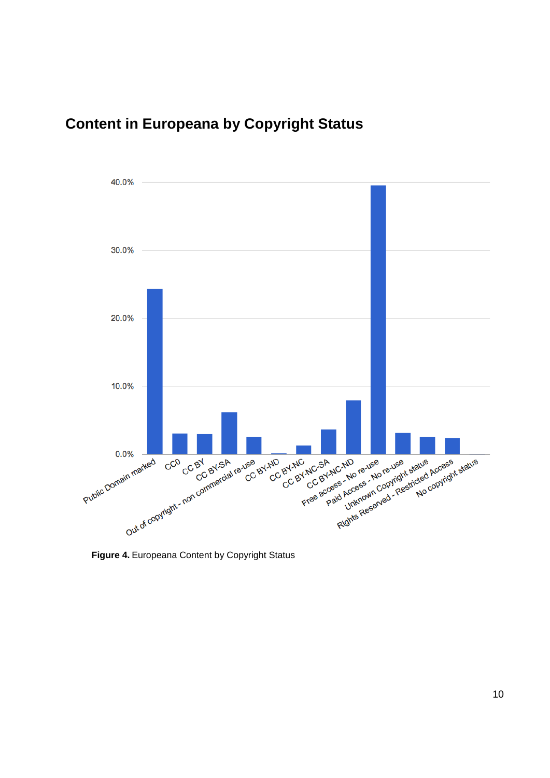## **Content in Europeana by Copyright Status**



**Figure 4.** Europeana Content by Copyright Status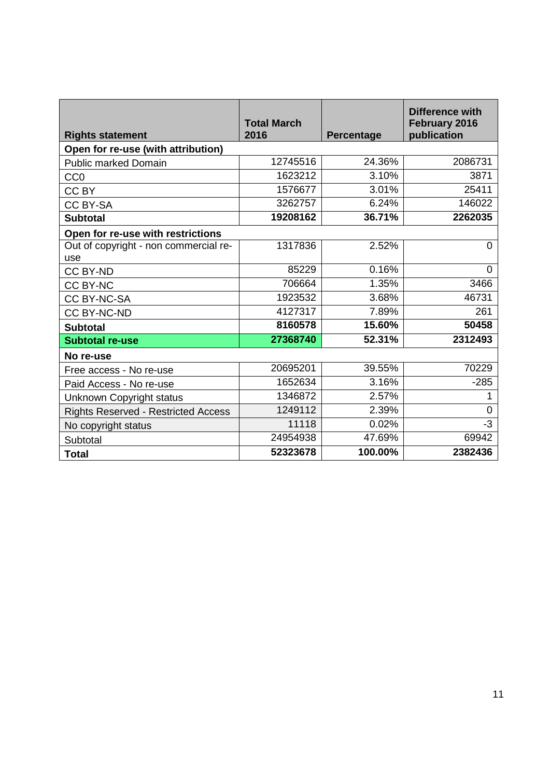| <b>Rights statement</b>               | <b>Total March</b><br>2016 | <b>Percentage</b> | Difference with<br>February 2016<br>publication |
|---------------------------------------|----------------------------|-------------------|-------------------------------------------------|
| Open for re-use (with attribution)    |                            |                   |                                                 |
| <b>Public marked Domain</b>           | 12745516                   | 24.36%            | 2086731                                         |
| CC <sub>0</sub>                       | 1623212                    | 3.10%             | 3871                                            |
| CC BY                                 | 1576677                    | 3.01%             | 25411                                           |
| <b>CC BY-SA</b>                       | 3262757                    | 6.24%             | 146022                                          |
| <b>Subtotal</b>                       | 19208162                   | 36.71%            | 2262035                                         |
| Open for re-use with restrictions     |                            |                   |                                                 |
| Out of copyright - non commercial re- | 1317836                    | 2.52%             | $\Omega$                                        |
| use                                   |                            |                   |                                                 |
| <b>CC BY-ND</b>                       | 85229                      | 0.16%             | 0                                               |
| <b>CC BY-NC</b>                       | 706664                     | 1.35%             | 3466                                            |
| <b>CC BY-NC-SA</b>                    | 1923532                    | 3.68%             | 46731                                           |
| <b>CC BY-NC-ND</b>                    | 4127317                    | 7.89%             | 261                                             |
| <b>Subtotal</b>                       | 8160578                    | 15.60%            | 50458                                           |
| <b>Subtotal re-use</b>                | 27368740                   | 52.31%            | 2312493                                         |
| No re-use                             |                            |                   |                                                 |
| Free access - No re-use               | 20695201                   | 39.55%            | 70229                                           |
| Paid Access - No re-use               | 1652634                    | 3.16%             | $-285$                                          |
| Unknown Copyright status              | 1346872                    | 2.57%             |                                                 |
| Rights Reserved - Restricted Access   | 1249112                    | 2.39%             | $\overline{0}$                                  |
| No copyright status                   | 11118                      | 0.02%             | $-3$                                            |
| Subtotal                              | 24954938                   | 47.69%            | 69942                                           |
| <b>Total</b>                          | 52323678                   | 100.00%           | 2382436                                         |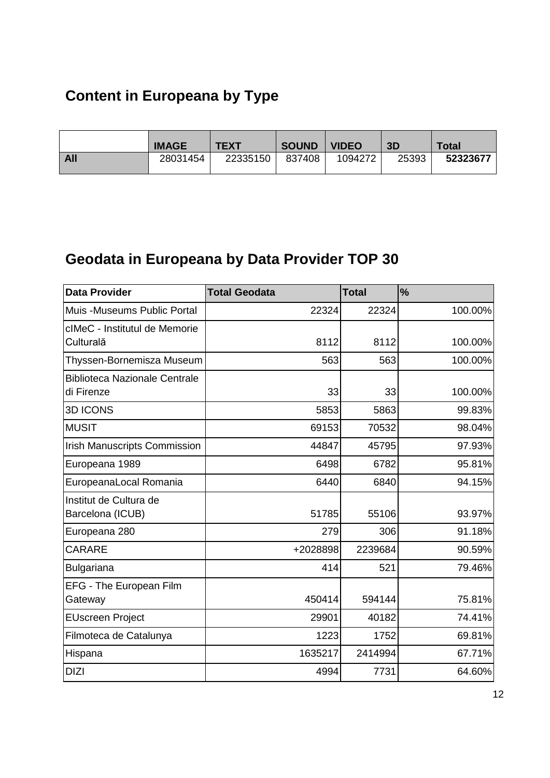## **Content in Europeana by Type**

|            | <b>IMAGE</b> | <b>TEXT</b> | <b>SOUND</b> | <b>VIDEO</b> | 3D    | Total    |
|------------|--------------|-------------|--------------|--------------|-------|----------|
| <b>All</b> | 28031454     | 22335150    | 837408       | 1094272      | 25393 | 52323677 |

## <span id="page-11-0"></span>**Geodata in Europeana by Data Provider TOP 30**

| <b>Data Provider</b>                               | <b>Total Geodata</b> | <b>Total</b> | $\frac{1}{2}$ |
|----------------------------------------------------|----------------------|--------------|---------------|
| Muis - Museums Public Portal                       | 22324                | 22324        | 100.00%       |
| cIMeC - Institutul de Memorie<br>Culturală         | 8112                 | 8112         | 100.00%       |
| Thyssen-Bornemisza Museum                          | 563                  | 563          | 100.00%       |
| <b>Biblioteca Nazionale Centrale</b><br>di Firenze | 33                   | 33           | 100.00%       |
| <b>3D ICONS</b>                                    | 5853                 | 5863         | 99.83%        |
| <b>MUSIT</b>                                       | 69153                | 70532        | 98.04%        |
| <b>Irish Manuscripts Commission</b>                | 44847                | 45795        | 97.93%        |
| Europeana 1989                                     | 6498                 | 6782         | 95.81%        |
| EuropeanaLocal Romania                             | 6440                 | 6840         | 94.15%        |
| Institut de Cultura de<br>Barcelona (ICUB)         | 51785                | 55106        | 93.97%        |
| Europeana 280                                      | 279                  | 306          | 91.18%        |
| <b>CARARE</b>                                      | +2028898             | 2239684      | 90.59%        |
| <b>Bulgariana</b>                                  | 414                  | 521          | 79.46%        |
| EFG - The European Film<br>Gateway                 | 450414               | 594144       | 75.81%        |
| <b>EUscreen Project</b>                            | 29901                | 40182        | 74.41%        |
| Filmoteca de Catalunya                             | 1223                 | 1752         | 69.81%        |
| Hispana                                            | 1635217              | 2414994      | 67.71%        |
| <b>DIZI</b>                                        | 4994                 | 7731         | 64.60%        |